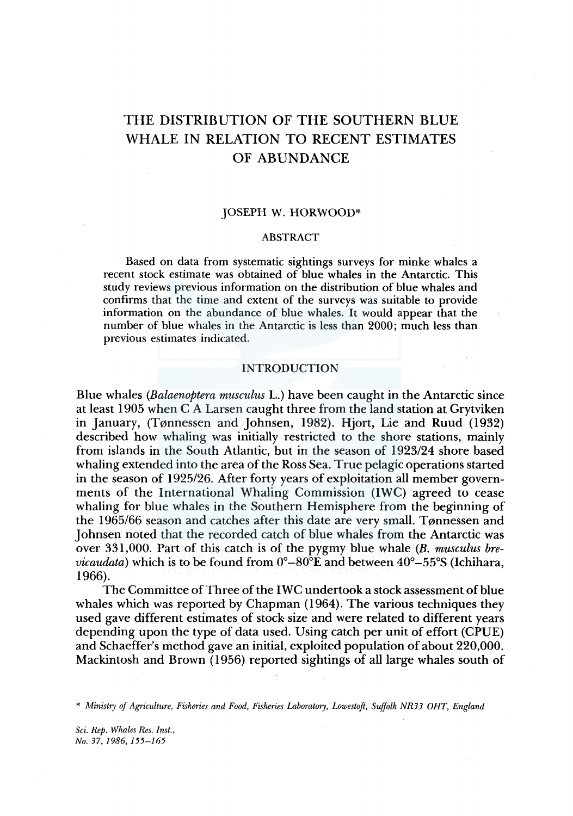# THE DISTRIBUTION OF THE SOUTHERN BLUE WHALE IN RELATION TO RECENT ESTIMATES OF ABUNDANCE

### JOSEPH W. HORWOOD\*

#### ABSTRACT

Based on data from systematic sightings surveys for minke whales a recent stock estimate was obtained of blue whales in the Antarctic. This study reviews previous information on the distribution of blue whales and confirms that the time and extent of the surveys was suitable to provide information on the abundance of blue whales. It would appear that the number of blue whales in the Antarctic is less than 2000; much less than previous estimates indicated.

## INTRODUCTION

Blue whales *(Balaenoptera musculus* L.) have been caught in the Antarctic since at least 1905 when C A Larsen caught three from the land station at Grytviken in January, (T0nnessen and Johnsen, 1982). Hjort, Lie and Ruud (1932) described how whaling was initially restricted to the shore stations, mainly from islands in the South Atlantic, but in the season of 1923/24 shore based whaling extended into the area of the Ross Sea. True pelagic operations started in the season of 1925/26. After forty years of exploitation all member governments of the International Whaling Commission (IWC) agreed to cease whaling for blue whales in the Southern Hemisphere from the beginning of the 1965/66 season and catches after this date are very small. Tønnessen and Johnsen noted that the recorded catch of blue whales from the Antarctic was over 331,000. Part of this catch is of the pygmy blue whale (B. *musculus brevicaudata)* which is to be found from 0°-80°E and between 40°-55°S (Ichihara, 1966).

The Committee of Three of the IWC undertook a stock assessment of blue whales which was reported by Chapman (1964). The various techniques they used gave different estimates of stock size and were related to different years depending upon the type of data used. Using catch per unit of effort (CPUE) and Schaeffer's method gave an initial, exploited population of about 220,000. Mackintosh and Brown (1956) reported sightings of all large whales south of

\* *Ministry of Agriculture, Fisheries and Food, Fisheries Laboratory, Lowestoft, Suffolk NR33 OHT, England* 

*Sci. Rep. Whales Res. Inst., No.37,1986,155-165*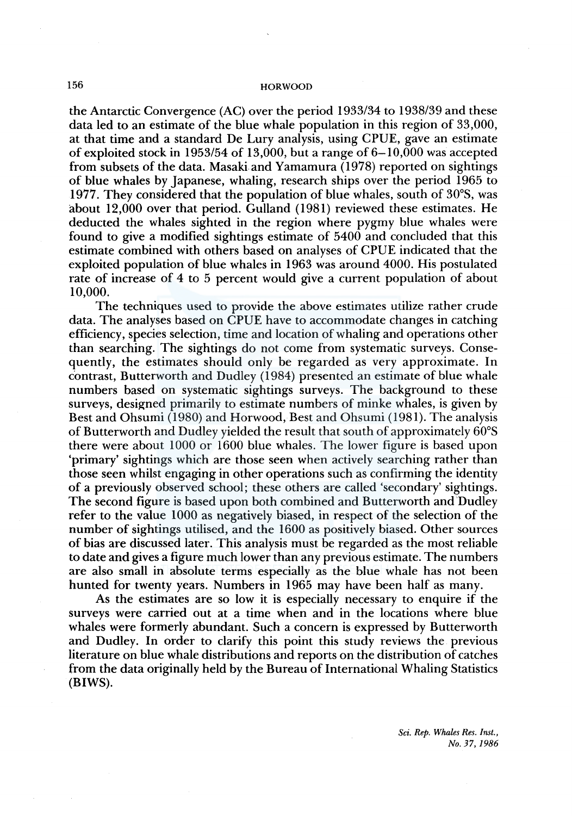the Antarctic Convergence (AC) over the period 1933/34 to 1938/39 and these data led to an estimate of the blue whale population in this region of 33,000, at that time and a standard De Lury analysis, using CPUE, gave an estimate of exploited stock in 1953/54 of 13,000, but a range of  $6-10,000$  was accepted from subsets of the data. Masaki and Yamamura ( 1978) reported on sightings of blue whales by Japanese, whaling, research ships over the period 1965 to 1977. They considered that the population of blue whales, south of 30°S, was about 12,000 over that period. Gulland (1981) reviewed these estimates. He deducted the whales sighted in the region where pygmy blue whales were found to give a modified sightings estimate of 5400 and concluded that this estimate combined with others based on analyses of CPUE indicated that the exploited population of blue whales in 1963 was around 4000. His postulated rate of increase of 4 to 5 percent would give a current population of about 10,000.

The techniques used to provide the above estimates utilize rather crude data. The analyses based on CPUE have to accommodate changes in catching efficiency, species selection, time and location of whaling and operations other than searching. The sightings do not come from systematic surveys. Consequently, the estimates should only be regarded as very approximate. In contrast, Butterworth and Dudley ( 1984) presented an estimate of blue whale numbers based on systematic sightings surveys. The background to these surveys, designed primarily to estimate numbers of minke whales, is given by Best and Ohsumi (1980) and Horwood, Best and Ohsumi (1981). The analysis of Butterworth and Dudley yielded the result that south of approximately 60°S there were about 1000 or 1600 blue whales. The lower figure is based upon 'primary' sightings which are those seen when actively searching rather than those seen whilst engaging in other operations such as confirming the identity of a previously observed school; these others are called 'secondary' sightings. The second figure is based upon both combined and Butterworth and Dudley refer to the value 1000 as negatively biased, in respect of the selection of the number of sightings utilised, and the 1600 as positively biased. Other sources of bias are discussed later. This analysis must be regarded as the most reliable to date and gives a figure much lower than any previous estimate. The numbers are also small in absolute terms especially as the blue whale has not been hunted for twenty years. Numbers in 1965 may have been half as many.

As the estimates are so low it is especially necessary to enquire if the surveys were carried out at a time when and in the locations where blue whales were formerly abundant. Such a concern is expressed by Butterworth and Dudley. In order to clarify this point this study reviews the previous literature on blue whale distributions and reports on the distribution of catches from the data originally held by the Bureau of International Whaling Statistics (BIWS).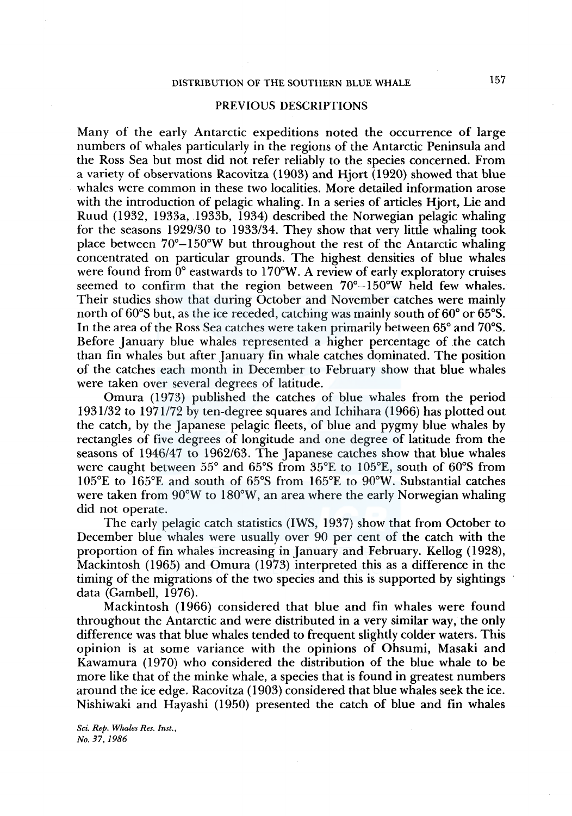## PREVIOUS DESCRIPTIONS

Many of the early Antarctic expeditions noted the occurrence of large numbers of whales particularly in the regions of the Antarctic Peninsula and the Ross Sea but most did not refer reliably to the species concerned. From a variety of observations Racovitza (1903) and Hjort (1920) showed that blue whales were common in these two localities. More detailed information arose with the introduction of pelagic whaling. In a series of articles Hjort, Lie and Ruud (1932, 1933a, 1933b, 1934) described the Norwegian pelagic whaling for the seasons 1929/30 to 1933/34. They show that very little whaling took place between  $70^{\circ}-150^{\circ}$ W but throughout the rest of the Antarctic whaling concentrated on particular grounds. The highest densities of blue whales were found from  $\overline{0}^{\circ}$  eastwards to 170°W. A review of early exploratory cruises seemed to confirm that the region between  $70^{\circ} - 150^{\circ}$ W held few whales. Their studies show that during October and November catches were mainly north of 60°S but, as the ice receded, catching was mainly south of 60° or 65°S. In the area of the Ross Sea catches were taken primarily between 65° and 70°S. Before January blue whales represented a higher percentage of the catch than fin whales but after January fin whale catches dominated. The position of the catches each month in December to February show that blue whales were taken over several degrees of latitude.

Omura (1973) published the catches of blue whales from the period 1931/32 to 1971172 by ten-degree squares and lchihara (1966) has plotted out the catch, by the Japanese pelagic fleets, of blue and pygmy blue whales by rectangles of five degrees of longitude and one degree of latitude from the seasons of 1946/47 to 1962/63. The Japanese catches show that blue whales were caught between 55° and 65°S from 35°E to 105°E, south of 60°S from 105°E to 165°E and south of 65°S from 165°E to 90°W. Substantial catches were taken from 90°W to 180°W, an area where the early Norwegian whaling did not operate.

The early pelagic catch statistics (IWS, 1937) show that from October to December blue whales were usually over 90 per cent of the catch with the proportion of fin whales increasing in January and February. Kellog (1928), Mackintosh (1965) and Omura (1973) interpreted this as a difference in the timing of the migrations of the two species and this is supported by sightings data (Gambell, 1976).

Mackintosh (1966) considered that blue and fin whales were found throughout the Antarctic and were distributed in a very similar way, the only difference was that blue whales tended to frequent slightly colder waters. This opinion is at some variance with the opinions of Ohsumi, Masaki and Kawamura (1970) who considered the distribution of the blue whale to be more like that of the minke whale, a species that is found in greatest numbers around the ice edge. Racovitza (1903) considered that blue whales seek the ice. Nishiwaki and Hayashi (1950) presented the catch of blue and fin whales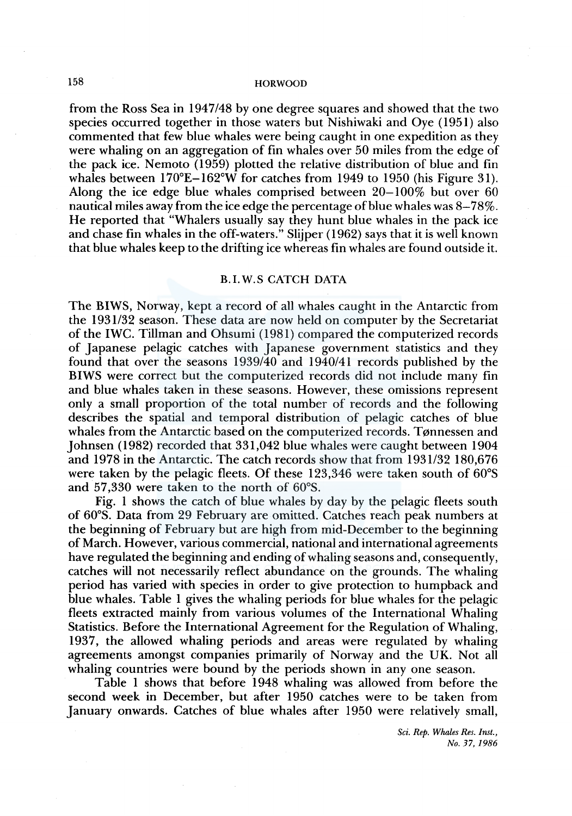from the Ross Sea in 1947/48 by one degree squares and showed that the two species occurred together in those waters but Nishiwaki and Oye (1951) also commented that few blue whales were being caught in one expedition as they were whaling on an aggregation of fin whales over 50 miles from the edge of the pack ice. Nemoto (1959) plotted the relative distribution of blue and fin whales between  $170^{\circ}E-162^{\circ}W$  for catches from 1949 to 1950 (his Figure 31). Along the ice edge blue whales comprised between  $20-100\%$  but over 60 nautical miles away from the ice edge the percentage of blue whales was 8-78%. He reported that "Whalers usually say they hunt blue whales in the pack ice and chase fin whales in the off-waters." Slijper ( 1962) says that it is well known that blue whales keep to the drifting ice whereas fin whales are found outside it.

# B.I.W.S CATCH DATA

The BIWS, Norway, kept a record of all whales caught in the Antarctic from the 1931132 season. These data are now held on computer by the Secretariat of the IWC. Tillman and Ohsumi (1981) compared the computerized records of Japanese pelagic catches with Japanese government statistics and they found that over the seasons 1939/40 and 1940/41 records published by the BIWS were correct but the computerized records did not include many fin and blue whales taken in these seasons. However, these omissions represent only a small proportion of the total number of records and the following describes the spatial and temporal distribution of pelagic catches of blue whales from the Antarctic based on the computerized records. Tønnessen and Johnsen (1982) recorded that 331,042 blue whales were caught between 1904 and 1978 in the Antarctic. The catch records show that from 1931/32 180,676 were taken by the pelagic fleets. Of these 123,346 were taken south of 60°S and 57,330 were taken to the north of 60°S.

Fig. 1 shows the catch of blue whales by day by the pelagic fleets south of 60°S. Data from 29 February are omitted. Catches reach peak numbers at the beginning of February but are high from mid-December to the beginning of March. However, various commercial, national and international agreements have regulated the beginning and ending of whaling seasons and, consequently, catches will not necessarily reflect abundance on the grounds. The whaling period has varied with species in order to give protection to humpback and blue whales. Table 1 gives the whaling periods for blue whales for the pelagic fleets extracted mainly from various volumes of the International Whaling Statistics. Before the International Agreement for the Regulation of Whaling, 1937, the allowed whaling periods and areas were regulated by whaling agreements amongst companies primarily of Norway and the UK. Not all whaling countries were bound by the periods shown in any one season.

Table 1 shows that before 1948 whaling was allowed from before the second week in December, but after 1950 catches were to be taken from January onwards. Catches of blue whales after 1950 were relatively small,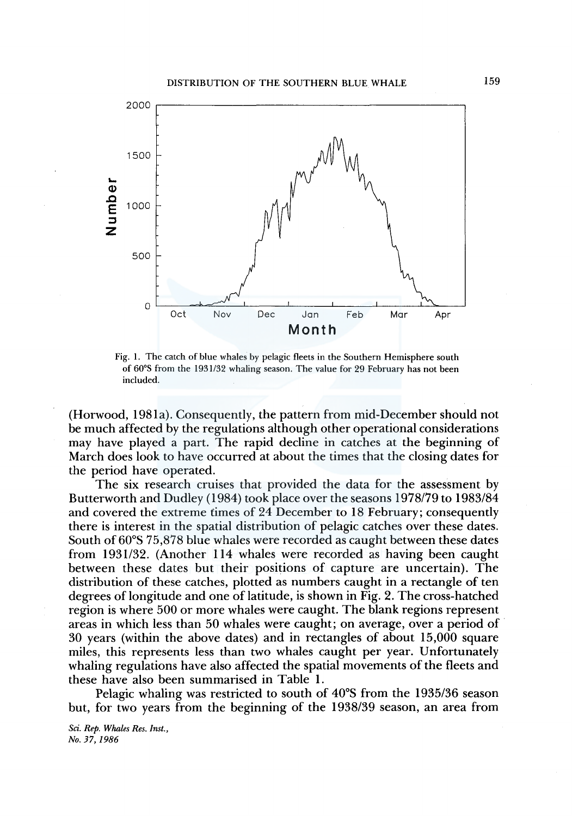

Fig. 1. The catch of blue whales by pelagic fleets in the Southern Hemisphere south of 60°S from the 1931/32 whaling season. The value for 29 February has not been included.

(Horwood, 198la). Consequently, the pattern from mid-December should not be much affected by the regulations although other operational considerations may have played a part. The rapid decline in catches at the beginning of March does look to have occurred at about the times that the closing dates for the period have operated.

The six research cruises that provided the data for the assessment by Butterworth and Dudley (1984) took place over the seasons 1978179 to 1983/84 and covered the extreme times of 24 December to 18 February; consequently there is interest in the spatial distribution of pelagic catches over these dates. South of 60°S 75,878 blue whales were recorded as caught between these dates from 1931/32. (Another 114 whales were recorded as having been caught between these dates but their positions of capture are uncertain). The distribution of these catches, plotted as numbers caught in a rectangle of ten degrees of longitude and one of latitude, is shown in Fig. 2. The cross-hatched region is where 500 or more whales were caught. The blank regions represent areas in which less than 50 whales were caught; on average, over a period of 30 years (within the above dates) and in rectangles of about 15,000 square miles, this represents less than two whales caught per year. Unfortunately whaling regulations have also affected the spatial movements of the fleets and these have also been summarised in Table 1.

Pelagic whaling was restricted to south of 40°S from the 1935/36 season but, for two years from the beginning of the 1938/39 season, an area from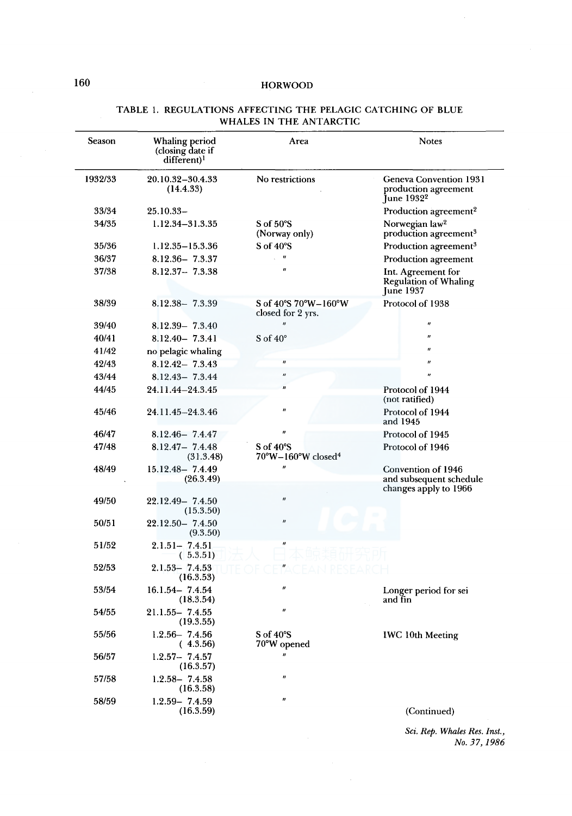| <b>Season</b> | Whaling period<br>(closing date if<br>different) <sup>1</sup> | Area                                                          | <b>Notes</b>                                                             |
|---------------|---------------------------------------------------------------|---------------------------------------------------------------|--------------------------------------------------------------------------|
| 1932/33       | 20.10.32–30.4.33<br>(14.4.33)                                 | No restrictions                                               | Geneva Convention 1931<br>production agreement<br>June 1932 <sup>2</sup> |
| 33/34         | $25.10.33-$                                                   |                                                               | Production agreement <sup>2</sup>                                        |
| 34/35         | 1.12.34-31.3.35                                               | $S \text{ of } 50^{\circ}S$<br>(Norway only)                  | Norwegian law <sup>2</sup><br>production agreement <sup>3</sup>          |
| 35/36         | 1.12.35-15.3.36                                               | $S \text{ of } 40^{\circ}S$                                   | Production agreement <sup>3</sup>                                        |
| 36/37         | $8.12.36 - 7.3.37$                                            | 11                                                            | Production agreement                                                     |
| 37/38         | $8.12.37 - 7.3.38$                                            | "                                                             | Int. Agreement for<br>Regulation of Whaling<br><b>June 1937</b>          |
| 38/39         | $8.12.38 - 7.3.39$                                            | S of 40°S 70°W-160°W<br>closed for 2 yrs.                     | Protocol of 1938                                                         |
| 39/40         | $8.12.39 - 7.3.40$                                            | $\boldsymbol{u}$                                              | $^{\prime\prime}$                                                        |
| 40/41         | $8.12.40 - 7.3.41$                                            | S of $40^\circ$                                               | $\boldsymbol{\eta}$                                                      |
| 41/42         | no pelagic whaling                                            |                                                               | $\boldsymbol{u}$                                                         |
| 42/43         | $8.12.42 - 7.3.43$                                            | $\boldsymbol{H}$                                              | $\boldsymbol{u}$                                                         |
| 43/44         | $8.12.43 - 7.3.44$                                            | n                                                             | $\boldsymbol{u}$                                                         |
| 44/45         | 24.11.44-24.3.45                                              | $\boldsymbol{u}$                                              | Protocol of 1944<br>(not ratified)                                       |
| 45/46         | 24.11.45-24.3.46                                              | n                                                             | Protocol of 1944<br>and 1945                                             |
| 46/47         | $8.12.46 - 7.4.47$                                            | $\boldsymbol{\eta}$                                           | Protocol of 1945                                                         |
| 47/48         | $8.12.47 - 7.4.48$<br>(31.3.48)                               | $S \text{ of } 40^{\circ}S$<br>70°W-160°W closed <sup>4</sup> | Protocol of 1946                                                         |
| 48/49         | $15.12.48 - 7.4.49$<br>(26.3.49)                              | $\boldsymbol{\theta}$                                         | Convention of 1946<br>and subsequent schedule                            |
| 49/50         | $22.12.49 - 7.4.50$                                           | $\pmb{\mathcal{H}}$                                           | changes apply to 1966                                                    |
|               | (15.3.50)                                                     |                                                               |                                                                          |
| 50/51         | $22.12.50 - 7.4.50$<br>(9.3.50)                               | $\boldsymbol{n}$                                              |                                                                          |
| 51/52         | $2.1.51 - 7.4.51$<br>(5.3.51)                                 | $\boldsymbol{H}$                                              |                                                                          |
| 52/53         | $2.1.53 - 7.4.53$<br>(16.3.53)                                |                                                               |                                                                          |
| 53/54         | $16.1.54 - 7.4.54$<br>(18.3.54)                               | $\boldsymbol{\mu}$                                            | Longer period for sei<br>and fin                                         |
| 54/55         | $21.1.55 - 7.4.55$<br>(19.3.55)                               | $\pmb{\mu}$                                                   |                                                                          |
| 55/56         | $1.2.56 - 7.4.56$<br>(4.3.56)                                 | S of 40°S<br>70°W opened                                      | <b>IWC 10th Meeting</b>                                                  |
| 56/57         | $1.2.57 - 7.4.57$<br>(16.3.57)                                |                                                               |                                                                          |
| 57/58         | $1.2.58 - 7.4.58$<br>(16.3.58)                                | n                                                             |                                                                          |
| 58/59         | $1.2.59 - 7.4.59$<br>(16.3.59)                                | Ħ                                                             | (Continued)                                                              |

# TABLE I. REGULATIONS AFFECTING THE PELAGIC CATCHING OF BLUE WHALES IN THE ANTARCTIC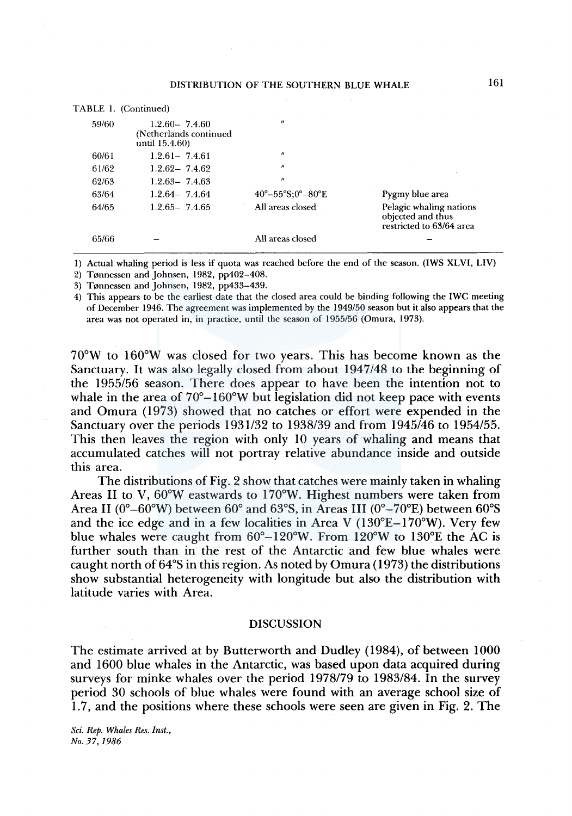### DISTRIBUTION OF THE SOUTHERN BLUE WHALE

|       | TABLE 1. (Continued)                                          |                                                |                                                                          |
|-------|---------------------------------------------------------------|------------------------------------------------|--------------------------------------------------------------------------|
| 59/60 | $1.2.60 - 7.4.60$<br>(Netherlands continued<br>until 15.4.60) | $\boldsymbol{\eta}$                            |                                                                          |
| 60/61 | $1.2.61 - 7.4.61$                                             | $^{\prime\prime}$                              |                                                                          |
| 61/62 | $1.2.62 - 7.4.62$                                             | $^{\prime\prime}$                              |                                                                          |
| 62/63 | $1.2.63 - 7.4.63$                                             | $\boldsymbol{H}$                               |                                                                          |
| 63/64 | $1.2.64 - 7.4.64$                                             | $40^{\circ} - 55^{\circ}$ S:0° $-80^{\circ}$ E | Pygmy blue area                                                          |
| 64/65 | $1.2.65 - 7.4.65$                                             | All areas closed                               | Pelagic whaling nations<br>objected and thus<br>restricted to 63/64 area |
| 65/66 |                                                               | All areas closed                               |                                                                          |

1) Actual whaling period is less if quota was reached before the end of the season. (IWS XLVI, LIV)

2) Tønnessen and Johnsen, 1982,  $pp402-408$ .

3) Tønnessen and Johnsen, 1982, pp433-439.

4) This appears to be the earliest date that the closed area could be binding following the IWC meeting of December 1946. The agreement was implemented by the 1949/50 season but it also appears that the area was not operated in, in practice, until the season of 1955/56 (Omura, 1973).

 $70^{\circ}$ W to  $160^{\circ}$ W was closed for two years. This has become known as the Sanctuary. It was also legally closed from about 1947/48 to the beginning of the 1955/56 season. There does appear to have been the intention not to whale in the area of  $70^{\circ}$ –160°W but legislation did not keep pace with events and Omura (1973) showed that no catches or effort were expended in the Sanctuary over the periods 1931/32 to 1938/39 and from 1945/46 to 1954/55. This then leaves the region with only 10 years of whaling and means that accumulated catches will not portray relative abundance inside and outside this area.

The distributions of Fig. 2 show that catches were mainly taken in whaling Areas II to V, 60°W eastwards to 170°W. Highest numbers were taken from Area II ( $0^{\circ}$ –60°W) between 60° and 63°S, in Areas III ( $0^{\circ}$ –70°E) between 60°S and the ice edge and in a few localities in Area V  $(130^{\circ}E-170^{\circ}W)$ . Very few blue whales were caught from 60°-l20°W. From 120°W to 130°E the AC is further south than in the rest of the Antarctic and few blue whales were caught north of 64°S in this region. As noted by Omura (1973) the distributions show substantial heterogeneity with longitude but also the distribution with latitude varies with Area.

### DISCUSSION

The estimate arrived at by Butterworth and Dudley (1984), of between 1000 and 1600 blue whales in the Antarctic, was based upon data acquired during surveys for minke whales over the period 1978/79 to 1983/84. In the survey period 30 schools of blue whales were found with an average school size of 1.7, and the positions where these schools were seen are given in Fig. 2. The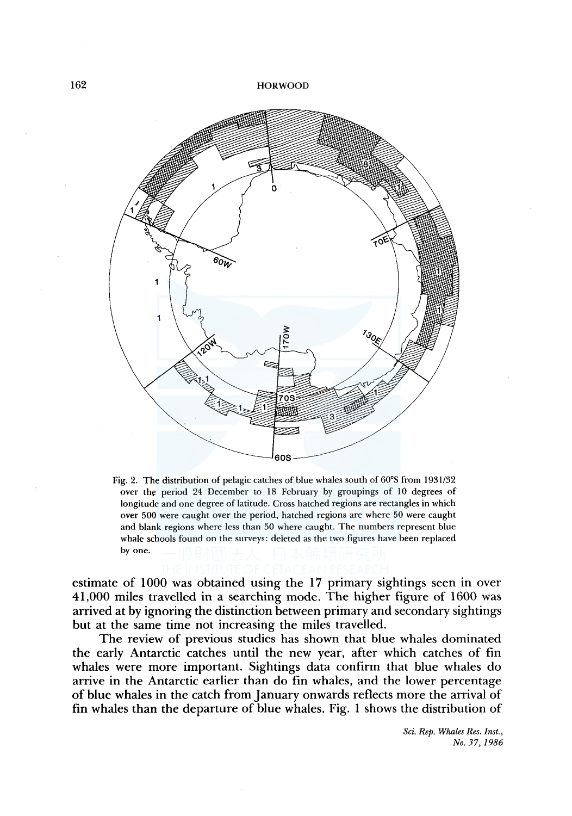

Fig. 2. The distribution of pelagic catches of blue whales south of 60°S from 193 l/32 over the period 24 December to 18 February by groupings of 10 degrees of longitude and one degree of latitude. Cross hatched regions are rectangles in which over 500 were caught over the period, hatched regions are where 50 were caught and blank regions where less than 50 where caught. The numbers represent blue whale schools found on the surveys: deleted as the two figures have been replaced by one.

estimate of 1000 was obtained using the 17 primary sightings seen in over 41,000 miles travelled in a searching mode. The higher figure of 1600 was arrived at by ignoring the distinction between primary and secondary sightings but at the same time not increasing the miles travelled.

The review of previous studies has shown that blue whales dominated the early Antarctic catches until the new year, after which catches of fin whales were more important. Sightings data confirm that blue whales do arrive in the Antarctic earlier than do fin whales, and the lower percentage of blue whales in the catch from January onwards reflects more the arrival of fin whales than the departure of blue whales. Fig. 1 shows the distribution of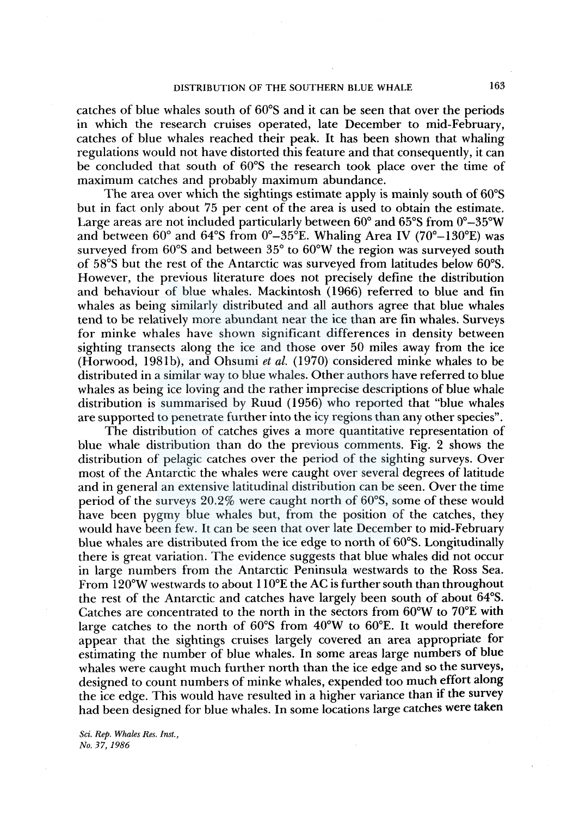# DISTRIBUTION OF THE SOUTHERN BLUE WHALE 163

catches of blue whales south of 60°S and it can be seen that over the periods in which the research cruises operated, late December to mid-February, catches of blue whales reached their peak. It has been shown that whaling regulations would not have distorted this feature and that consequently, it can be concluded that south of 60°S the research took place over the time of maximum catches and probably maximum abundance.

The area over which the sightings estimate apply is mainly south of 60°S but in fact only about 75 per cent of the area is used to obtain the estimate. Large areas are not included particularly between 60° and 65°S from 0°-35°W and between  $60^{\circ}$  and  $64^{\circ}$ S from  $0^{\circ} - 35^{\circ}$ E. Whaling Area IV (70°–130°E) was surveyed from 60°S and between 35° to 60°W the region was surveyed south of 58°S but the rest of the Antarctic was surveyed from latitudes below 60°S. However, the previous literature does not precisely define the distribution and behaviour of blue whales. Mackintosh (1966) referred to blue and fin whales as being similarly distributed and all authors agree that blue whales tend to be relatively more abundant near the ice than are fin whales. Surveys for minke whales have shown significant differences in density between sighting transects along the ice and those over 50 miles away from the ice (Horwood, 198lb), and Ohsumi *et al.* (1970) considered minke whales to be distributed in a similar way to blue whales. Other authors have referred to blue whales as being ice loving and the rather imprecise descriptions of blue whale distribution is summarised by Ruud (1956) who reported that "blue whales are supported to penetrate further into the icy regions than any other species".

The distribution of catches gives a more quantitative representation of blue whale distribution than do the previous comments. Fig. 2 shows the distribution of pelagic catches over the period of the sighting surveys. Over most of the Antarctic the whales were caught over several degrees of latitude and in general an extensive latitudinal distribution can be seen. Over the time period of the surveys 20.2% were caught north of 60°S, some of these would have been pygmy blue whales but, from the position of the catches, they would have been few. It can be seen that over late December to mid-February blue whales are distributed from the ice edge to north of 60°S. Longitudinally there is great variation. The evidence suggests that blue whales did not occur in large numbers from the Antarctic Peninsula westwards to the Ross Sea. From 120°W westwards to about 110°E the AC is further south than throughout the rest of the Antarctic and catches have largely been south of about 64°S. Catches are concentrated to the north in the sectors from 60°W to 70°E with large catches to the north of 60°S from 40°W to 60°E. It would therefore appear that the sightings cruises largely covered an area appropriate for estimating the number of blue whales. In some areas large numbers of blue whales were caught much further north than the ice edge and so the surveys, designed to count numbers of minke whales, expended too much effort along the ice edge. This would have resulted in a higher variance than if the survey had been designed for blue whales. In some locations large catches were taken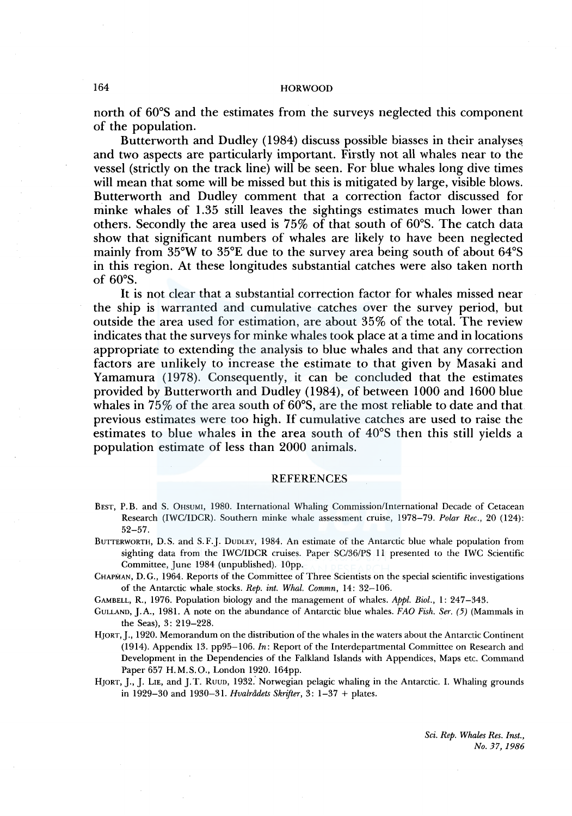north of 60°S and the estimates from the surveys neglected this component of the population.

Butterworth and Dudley (1984) discuss possible biasses in their analyses and two aspects are particularly important. Firstly not all whales near to the vessel (strictly on the track line) will be seen. For blue whales long dive times will mean that some will be missed but this is mitigated by large, visible blows. Butterworth and Dudley comment that a correction factor discussed for minke whales of 1.35 still leaves the sightings estimates much lower than others. Secondly the area used is 75% of that south of 60°S. The catch data show that significant numbers of whales are likely to have been neglected mainly from 35°W to 35°E due to the survey area being south of about 64°S in this region. At these longitudes substantial catches were also taken north of 60°S.

It is not clear that a substantial correction factor for whales missed near the ship is warranted and cumulative catches over the survey period, but outside the area used for estimation, are about 35% of the total. The review indicates that the surveys for minke whales took place at a time and in locations appropriate to extending the analysis to blue whales and that any correction factors are unlikely to increase the estimate to that given by Masaki and Yamamura (1978). Consequently, it can be concluded that the estimates provided by Butterworth and Dudley (1984), of between 1000 and 1600 blue whales in  $75\%$  of the area south of  $60^{\circ}$ S, are the most reliable to date and that. previous estimates were too high. If cumulative catches are used to raise the estimates to blue whales in the area south of 40°S then this still yields a population estimate of less than 2000 animals.

### REFERENCES

- BEST, P.B. and S. 0HSUMI, 1980. International Whaling Commission/International Decade of Cetacean Research (IWC/IDCR). Southern minke whale assessment cruise, 1978-79. *Polar Ree.,* 20 (124): 52-57.
- BUTTERWORTH, D.S. and S.F.J. DUDLEY, 1984. An estimate of the Antarctic blue whale population from sighting data from the IWC/IDCR cruises. Paper SC/36/PS 11 presented to the IWC Scientific Committee, June 1984 (unpublished). 10pp.
- CHAPMAN, D. G., 1964. Reports of the Committee of Three Scientists on the special scientific investigations of the Antarctic whale. stocks. *Rep. int. Whal. Commn,* 14: 32-106.
- GAMBELL, R., 1976. Population biology and the management of whales. *Appl. Biol.,* I: 247-343.
- GuLLAND, J.A., 1981. A note on the abundance of Antarctic blue whales. FAO Fish. Ser. (5) (Mammals in the Seas), 3: 219-228.
- HJORT, J., 1920. Memorandum on the distribution of the whales in the waters about the Antarctic Continent (1914). Appendix 13. pp95-106. *In:* Report of the Interdepartmental Committee on Research and Development in the Dependencies of the Falkland Islands with Appendices, Maps etc. Command Paper 657 H.M.S.O., London 1920. 164pp.
- HJORT, J., J. LIE, and J.T. RUUD, 1932. Norwegian pelagic whaling in the Antarctic. I. Whaling grounds in 1929-30 and 1930-31. *Hvalrddets Skrifter,* 3: 1-37 + plates.